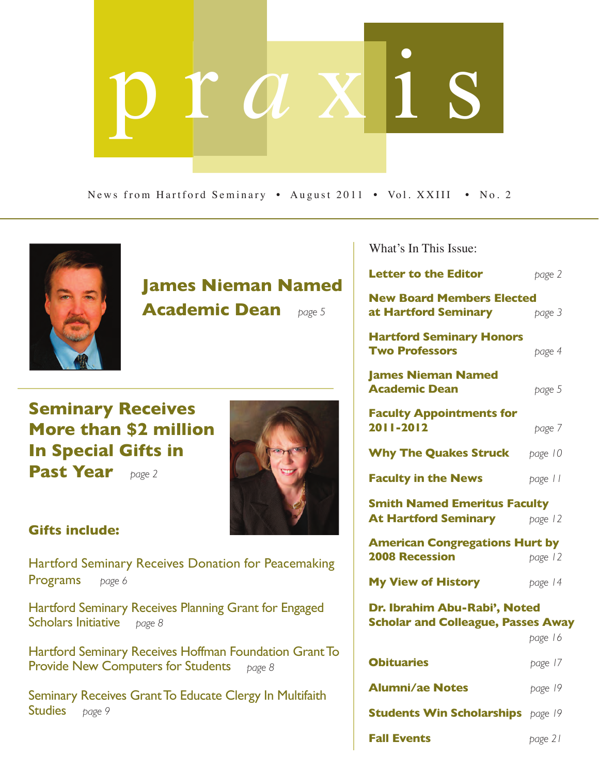# *r a* x

News from Hartford Seminary • August 2011 • Vol. XXIII • No. 2



# **James Nieman Named Academic Dean** *page 5*

**Seminary Receives More than \$2 million In Special Gifts in Past Year** *page 2*



# **Gifts include:**

Hartford Seminary Receives Donation for Peacemaking Programs *page 6*

Hartford Seminary Receives Planning Grant for Engaged Scholars Initiative *page 8*

Hartford Seminary Receives Hoffman Foundation Grant To Provide New Computers for Students *page 8*

Seminary Receives Grant To Educate Clergy In Multifaith Studies *page 9*

What's In This Issue:

| <b>Letter to the Editor</b>                                                          | page 2  |
|--------------------------------------------------------------------------------------|---------|
| <b>New Board Members Elected</b><br>at Hartford Seminary                             | page 3  |
| <b>Hartford Seminary Honors</b><br><b>Two Professors</b>                             | page 4  |
| <b>James Nieman Named</b><br><b>Academic Dean</b>                                    | page 5  |
| <b>Faculty Appointments for</b><br>2011-2012                                         | page 7  |
| <b>Why The Quakes Struck</b>                                                         | page 10 |
| <b>Faculty in the News</b>                                                           | page    |
| <b>Smith Named Emeritus Faculty</b><br><b>At Hartford Seminary</b>                   | page 12 |
| <b>American Congregations Hurt by</b><br><b>2008 Recession</b>                       | page 12 |
| <b>My View of History</b>                                                            | page 14 |
| Dr. Ibrahim Abu-Rabi', Noted<br><b>Scholar and Colleague, Passes Away</b><br>page 16 |         |
| <b>Obituaries</b>                                                                    | page 17 |
| <b>Alumni/ae Notes</b>                                                               | page 19 |
| <b>Students Win Scholarships</b> page 19                                             |         |
| <b>Fall Events</b>                                                                   | page 21 |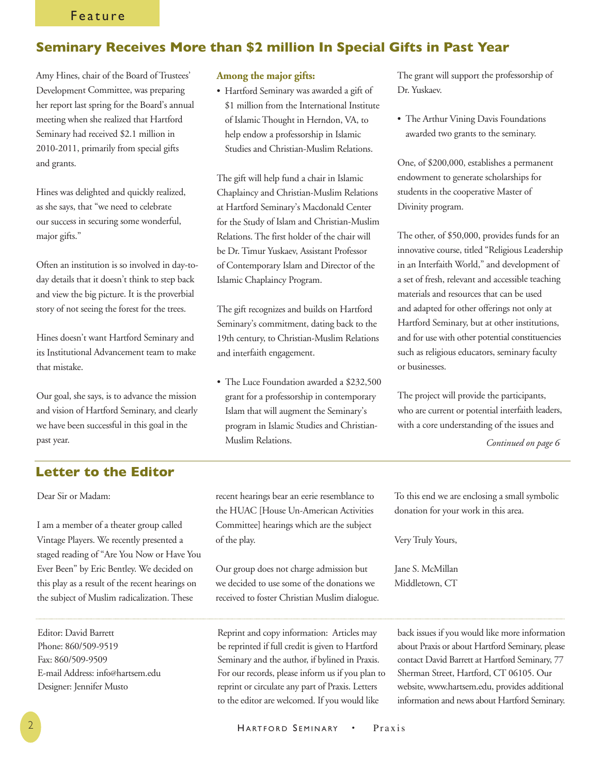# **Seminary Receives More than \$2 million In Special Gifts in Past Year**

Amy Hines, chair of the Board of Trustees' Development Committee, was preparing her report last spring for the Board's annual meeting when she realized that Hartford Seminary had received \$2.1 million in 2010-2011, primarily from special gifts and grants.

Hines was delighted and quickly realized, as she says, that "we need to celebrate our success in securing some wonderful, major gifts."

Often an institution is so involved in day-today details that it doesn't think to step back and view the big picture. It is the proverbial story of not seeing the forest for the trees.

Hines doesn't want Hartford Seminary and its Institutional Advancement team to make that mistake.

Our goal, she says, is to advance the mission and vision of Hartford Seminary, and clearly we have been successful in this goal in the past year.

### **Among the major gifts:**

• Hartford Seminary was awarded a gift of \$1 million from the International Institute of Islamic Thought in Herndon, VA, to help endow a professorship in Islamic Studies and Christian-Muslim Relations.

The gift will help fund a chair in Islamic Chaplaincy and Christian-Muslim Relations at Hartford Seminary's Macdonald Center for the Study of Islam and Christian-Muslim Relations. The first holder of the chair will be Dr. Timur Yuskaev, Assistant Professor of Contemporary Islam and Director of the Islamic Chaplaincy Program.

The gift recognizes and builds on Hartford Seminary's commitment, dating back to the 19th century, to Christian-Muslim Relations and interfaith engagement.

• The Luce Foundation awarded a \$232,500 grant for a professorship in contemporary Islam that will augment the Seminary's program in Islamic Studies and Christian-Muslim Relations.

The grant will support the professorship of Dr. Yuskaev.

• The Arthur Vining Davis Foundations awarded two grants to the seminary.

One, of \$200,000, establishes a permanent endowment to generate scholarships for students in the cooperative Master of Divinity program.

The other, of \$50,000, provides funds for an innovative course, titled "Religious Leadership in an Interfaith World," and development of a set of fresh, relevant and accessible teaching materials and resources that can be used and adapted for other offerings not only at Hartford Seminary, but at other institutions, and for use with other potential constituencies such as religious educators, seminary faculty or businesses.

The project will provide the participants, who are current or potential interfaith leaders, with a core understanding of the issues and

*Continued on page 6*

# **Letter to the Editor**

Dear Sir or Madam:

I am a member of a theater group called Vintage Players. We recently presented a staged reading of "Are You Now or Have You Ever Been" by Eric Bentley. We decided on this play as a result of the recent hearings on the subject of Muslim radicalization. These

Editor: David Barrett Phone: 860/509-9519 Fax: 860/509-9509 E-mail Address: info@hartsem.edu Designer: Jennifer Musto

recent hearings bear an eerie resemblance to the HUAC [House Un-American Activities Committee] hearings which are the subject of the play.

Our group does not charge admission but we decided to use some of the donations we received to foster Christian Muslim dialogue.

Reprint and copy information: Articles may be reprinted if full credit is given to Hartford Seminary and the author, if bylined in Praxis. For our records, please inform us if you plan to reprint or circulate any part of Praxis. Letters to the editor are welcomed. If you would like

To this end we are enclosing a small symbolic donation for your work in this area.

Very Truly Yours,

Jane S. McMillan Middletown, CT

back issues if you would like more information about Praxis or about Hartford Seminary, please contact David Barrett at Hartford Seminary, 77 Sherman Street, Hartford, CT 06105. Our website, www.hartsem.edu, provides additional information and news about Hartford Seminary.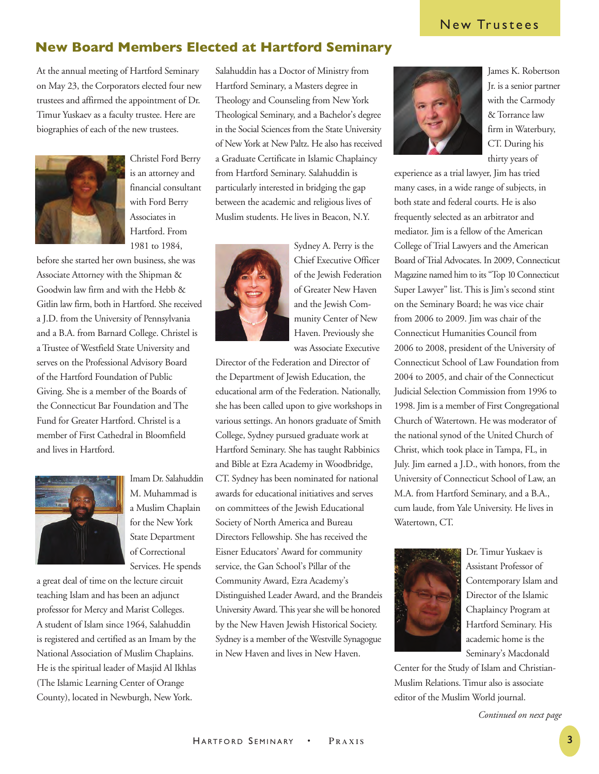# New Trustees

# **New Board Members Elected at Hartford Seminary**

At the annual meeting of Hartford Seminary on May 23, the Corporators elected four new trustees and affirmed the appointment of Dr. Timur Yuskaev as a faculty trustee. Here are biographies of each of the new trustees.



Christel Ford Berry is an attorney and financial consultant with Ford Berry Associates in Hartford. From 1981 to 1984,

before she started her own business, she was Associate Attorney with the Shipman & Goodwin law firm and with the Hebb & Gitlin law firm, both in Hartford. She received a J.D. from the University of Pennsylvania and a B.A. from Barnard College. Christel is a Trustee of Westfield State University and serves on the Professional Advisory Board of the Hartford Foundation of Public Giving. She is a member of the Boards of the Connecticut Bar Foundation and The Fund for Greater Hartford. Christel is a member of First Cathedral in Bloomfield and lives in Hartford.



Imam Dr. Salahuddin M. Muhammad is a Muslim Chaplain for the New York State Department of Correctional Services. He spends

a great deal of time on the lecture circuit teaching Islam and has been an adjunct professor for Mercy and Marist Colleges. A student of Islam since 1964, Salahuddin is registered and certified as an Imam by the National Association of Muslim Chaplains. He is the spiritual leader of Masjid Al Ikhlas (The Islamic Learning Center of Orange County), located in Newburgh, New York.

Salahuddin has a Doctor of Ministry from Hartford Seminary, a Masters degree in Theology and Counseling from New York Theological Seminary, and a Bachelor's degree in the Social Sciences from the State University of New York at New Paltz. He also has received a Graduate Certificate in Islamic Chaplaincy from Hartford Seminary. Salahuddin is particularly interested in bridging the gap between the academic and religious lives of Muslim students. He lives in Beacon, N.Y.



Sydney A. Perry is the Chief Executive Officer of the Jewish Federation of Greater New Haven and the Jewish Community Center of New Haven. Previously she was Associate Executive

Director of the Federation and Director of the Department of Jewish Education, the educational arm of the Federation. Nationally, she has been called upon to give workshops in various settings. An honors graduate of Smith College, Sydney pursued graduate work at Hartford Seminary. She has taught Rabbinics and Bible at Ezra Academy in Woodbridge, CT. Sydney has been nominated for national awards for educational initiatives and serves on committees of the Jewish Educational Society of North America and Bureau Directors Fellowship. She has received the Eisner Educators' Award for community service, the Gan School's Pillar of the Community Award, Ezra Academy's Distinguished Leader Award, and the Brandeis University Award. This year she will be honored by the New Haven Jewish Historical Society. Sydney is a member of the Westville Synagogue in New Haven and lives in New Haven.



James K. Robertson Jr. is a senior partner with the Carmody & Torrance law firm in Waterbury, CT. During his thirty years of

experience as a trial lawyer, Jim has tried many cases, in a wide range of subjects, in both state and federal courts. He is also frequently selected as an arbitrator and mediator. Jim is a fellow of the American College of Trial Lawyers and the American Board of Trial Advocates. In 2009, Connecticut Magazine named him to its "Top 10 Connecticut Super Lawyer" list. This is Jim's second stint on the Seminary Board; he was vice chair from 2006 to 2009. Jim was chair of the Connecticut Humanities Council from 2006 to 2008, president of the University of Connecticut School of Law Foundation from 2004 to 2005, and chair of the Connecticut Judicial Selection Commission from 1996 to 1998. Jim is a member of First Congregational Church of Watertown. He was moderator of the national synod of the United Church of Christ, which took place in Tampa, FL, in July. Jim earned a J.D., with honors, from the University of Connecticut School of Law, an M.A. from Hartford Seminary, and a B.A., cum laude, from Yale University. He lives in Watertown, CT.



Dr. Timur Yuskaev is Assistant Professor of Contemporary Islam and Director of the Islamic Chaplaincy Program at Hartford Seminary. His academic home is the Seminary's Macdonald

Center for the Study of Islam and Christian-Muslim Relations. Timur also is associate editor of the Muslim World journal.

*Continued on next page*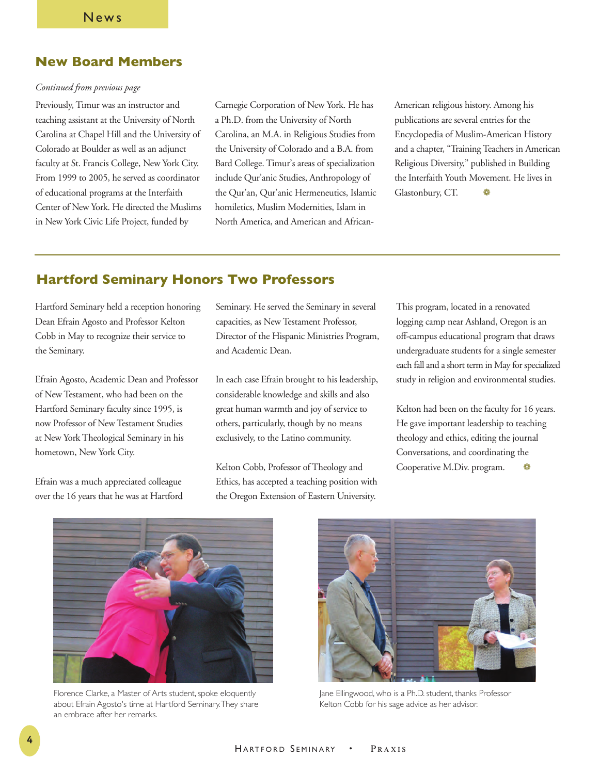# **New Board Members**

### *Continued from previous page*

Previously, Timur was an instructor and teaching assistant at the University of North Carolina at Chapel Hill and the University of Colorado at Boulder as well as an adjunct faculty at St. Francis College, New York City. From 1999 to 2005, he served as coordinator of educational programs at the Interfaith Center of New York. He directed the Muslims in New York Civic Life Project, funded by

Carnegie Corporation of New York. He has a Ph.D. from the University of North Carolina, an M.A. in Religious Studies from the University of Colorado and a B.A. from Bard College. Timur's areas of specialization include Qur'anic Studies, Anthropology of the Qur'an, Qur'anic Hermeneutics, Islamic homiletics, Muslim Modernities, Islam in North America, and American and African-

American religious history. Among his publications are several entries for the Encyclopedia of Muslim-American History and a chapter, "Training Teachers in American Religious Diversity," published in Building the Interfaith Youth Movement. He lives in Glastonbury, CT.

# **Hartford Seminary Honors Two Professors**

Hartford Seminary held a reception honoring Dean Efrain Agosto and Professor Kelton Cobb in May to recognize their service to the Seminary.

Efrain Agosto, Academic Dean and Professor of New Testament, who had been on the Hartford Seminary faculty since 1995, is now Professor of New Testament Studies at New York Theological Seminary in his hometown, New York City.

Efrain was a much appreciated colleague over the 16 years that he was at Hartford Seminary. He served the Seminary in several capacities, as New Testament Professor, Director of the Hispanic Ministries Program, and Academic Dean.

In each case Efrain brought to his leadership, considerable knowledge and skills and also great human warmth and joy of service to others, particularly, though by no means exclusively, to the Latino community.

Kelton Cobb, Professor of Theology and Ethics, has accepted a teaching position with the Oregon Extension of Eastern University.

This program, located in a renovated logging camp near Ashland, Oregon is an off-campus educational program that draws undergraduate students for a single semester each fall and a short term in May for specialized study in religion and environmental studies.

Kelton had been on the faculty for 16 years. He gave important leadership to teaching theology and ethics, editing the journal Conversations, and coordinating the Cooperative M.Div. program.



Florence Clarke, a Master of Arts student, spoke eloquently about Efrain Agosto's time at Hartford Seminary. They share an embrace after her remarks.



Jane Ellingwood, who is a Ph.D. student, thanks Professor Kelton Cobb for his sage advice as her advisor.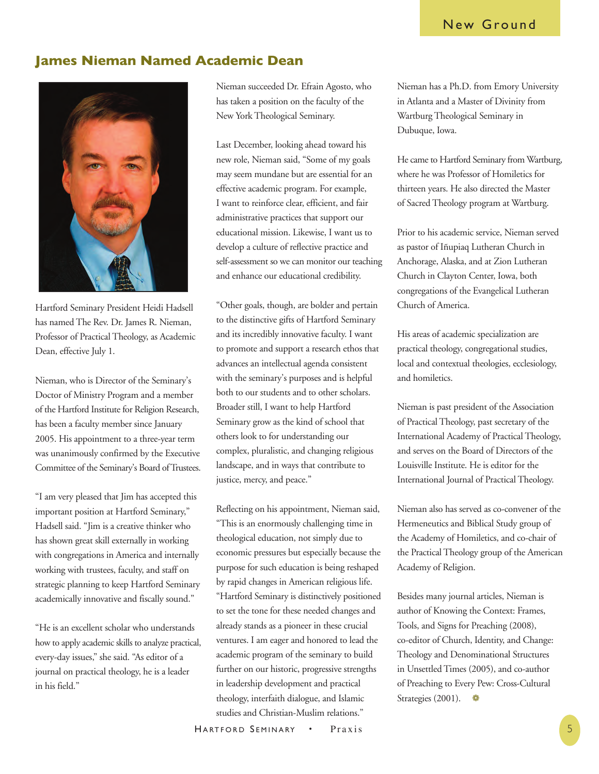# **James Nieman Named Academic Dean**



Hartford Seminary President Heidi Hadsell has named The Rev. Dr. James R. Nieman, Professor of Practical Theology, as Academic Dean, effective July 1.

Nieman, who is Director of the Seminary's Doctor of Ministry Program and a member of the Hartford Institute for Religion Research, has been a faculty member since January 2005. His appointment to a three-year term was unanimously confirmed by the Executive Committee of the Seminary's Board of Trustees.

"I am very pleased that Jim has accepted this important position at Hartford Seminary," Hadsell said. "Jim is a creative thinker who has shown great skill externally in working with congregations in America and internally working with trustees, faculty, and staff on strategic planning to keep Hartford Seminary academically innovative and fiscally sound."

"He is an excellent scholar who understands how to apply academic skills to analyze practical, every-day issues," she said. "As editor of a journal on practical theology, he is a leader in his field."

Nieman succeeded Dr. Efrain Agosto, who has taken a position on the faculty of the New York Theological Seminary.

Last December, looking ahead toward his new role, Nieman said, "Some of my goals may seem mundane but are essential for an effective academic program. For example, I want to reinforce clear, efficient, and fair administrative practices that support our educational mission. Likewise, I want us to develop a culture of reflective practice and self-assessment so we can monitor our teaching and enhance our educational credibility.

"Other goals, though, are bolder and pertain to the distinctive gifts of Hartford Seminary and its incredibly innovative faculty. I want to promote and support a research ethos that advances an intellectual agenda consistent with the seminary's purposes and is helpful both to our students and to other scholars. Broader still, I want to help Hartford Seminary grow as the kind of school that others look to for understanding our complex, pluralistic, and changing religious landscape, and in ways that contribute to justice, mercy, and peace."

Reflecting on his appointment, Nieman said, "This is an enormously challenging time in theological education, not simply due to economic pressures but especially because the purpose for such education is being reshaped by rapid changes in American religious life. "Hartford Seminary is distinctively positioned to set the tone for these needed changes and already stands as a pioneer in these crucial ventures. I am eager and honored to lead the academic program of the seminary to build further on our historic, progressive strengths in leadership development and practical theology, interfaith dialogue, and Islamic studies and Christian-Muslim relations."

Nieman has a Ph.D. from Emory University in Atlanta and a Master of Divinity from Wartburg Theological Seminary in Dubuque, Iowa.

He came to Hartford Seminary from Wartburg, where he was Professor of Homiletics for thirteen years. He also directed the Master of Sacred Theology program at Wartburg.

Prior to his academic service, Nieman served as pastor of Iñupiaq Lutheran Church in Anchorage, Alaska, and at Zion Lutheran Church in Clayton Center, Iowa, both congregations of the Evangelical Lutheran Church of America.

His areas of academic specialization are practical theology, congregational studies, local and contextual theologies, ecclesiology, and homiletics.

Nieman is past president of the Association of Practical Theology, past secretary of the International Academy of Practical Theology, and serves on the Board of Directors of the Louisville Institute. He is editor for the International Journal of Practical Theology.

Nieman also has served as co-convener of the Hermeneutics and Biblical Study group of the Academy of Homiletics, and co-chair of the Practical Theology group of the American Academy of Religion.

Besides many journal articles, Nieman is author of Knowing the Context: Frames, Tools, and Signs for Preaching (2008), co-editor of Church, Identity, and Change: Theology and Denominational Structures in Unsettled Times (2005), and co-author of Preaching to Every Pew: Cross-Cultural Strategies (2001).

HARTFORD SEMINARY • Praxis 5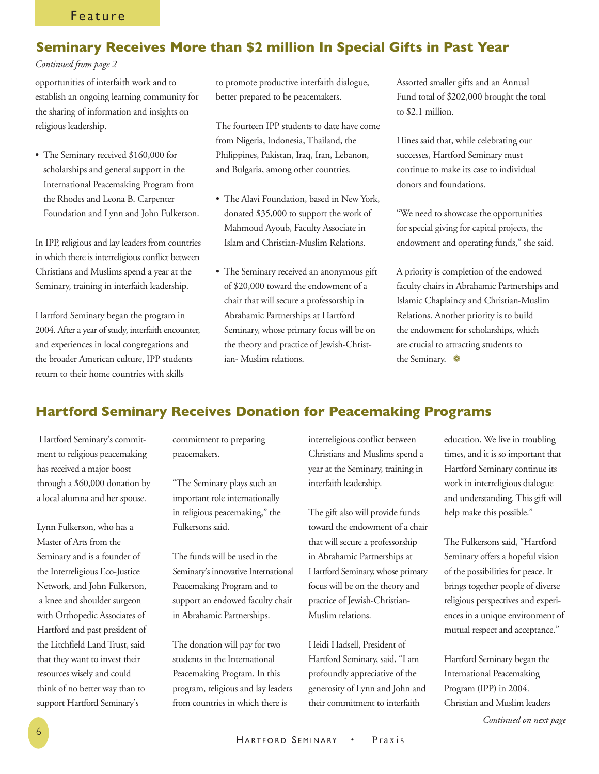# **Seminary Receives More than \$2 million In Special Gifts in Past Year**

### *Continued from page 2*

opportunities of interfaith work and to establish an ongoing learning community for the sharing of information and insights on religious leadership.

• The Seminary received \$160,000 for scholarships and general support in the International Peacemaking Program from the Rhodes and Leona B. Carpenter Foundation and Lynn and John Fulkerson.

In IPP, religious and lay leaders from countries in which there is interreligious conflict between Christians and Muslims spend a year at the Seminary, training in interfaith leadership.

Hartford Seminary began the program in 2004. After a year of study, interfaith encounter, and experiences in local congregations and the broader American culture, IPP students return to their home countries with skills

to promote productive interfaith dialogue, better prepared to be peacemakers.

The fourteen IPP students to date have come from Nigeria, Indonesia, Thailand, the Philippines, Pakistan, Iraq, Iran, Lebanon, and Bulgaria, among other countries.

- The Alavi Foundation, based in New York, donated \$35,000 to support the work of Mahmoud Ayoub, Faculty Associate in Islam and Christian-Muslim Relations.
- The Seminary received an anonymous gift of \$20,000 toward the endowment of a chair that will secure a professorship in Abrahamic Partnerships at Hartford Seminary, whose primary focus will be on the theory and practice of Jewish-Christian- Muslim relations.

Assorted smaller gifts and an Annual Fund total of \$202,000 brought the total to \$2.1 million.

Hines said that, while celebrating our successes, Hartford Seminary must continue to make its case to individual donors and foundations.

"We need to showcase the opportunities for special giving for capital projects, the endowment and operating funds," she said.

A priority is completion of the endowed faculty chairs in Abrahamic Partnerships and Islamic Chaplaincy and Christian-Muslim Relations. Another priority is to build the endowment for scholarships, which are crucial to attracting students to the Seminary.  $\bullet$ 

# **Hartford Seminary Receives Donation for Peacemaking Programs**

Hartford Seminary's commitment to religious peacemaking has received a major boost through a \$60,000 donation by a local alumna and her spouse.

Lynn Fulkerson, who has a Master of Arts from the Seminary and is a founder of the Interreligious Eco-Justice Network, and John Fulkerson, a knee and shoulder surgeon with Orthopedic Associates of Hartford and past president of the Litchfield Land Trust, said that they want to invest their resources wisely and could think of no better way than to support Hartford Seminary's

commitment to preparing peacemakers.

"The Seminary plays such an important role internationally in religious peacemaking," the Fulkersons said.

The funds will be used in the Seminary's innovative International Peacemaking Program and to support an endowed faculty chair in Abrahamic Partnerships.

The donation will pay for two students in the International Peacemaking Program. In this program, religious and lay leaders from countries in which there is

interreligious conflict between Christians and Muslims spend a year at the Seminary, training in interfaith leadership.

The gift also will provide funds toward the endowment of a chair that will secure a professorship in Abrahamic Partnerships at Hartford Seminary, whose primary focus will be on the theory and practice of Jewish-Christian-Muslim relations.

Heidi Hadsell, President of Hartford Seminary, said, "I am profoundly appreciative of the generosity of Lynn and John and their commitment to interfaith

education. We live in troubling times, and it is so important that Hartford Seminary continue its work in interreligious dialogue and understanding. This gift will help make this possible."

The Fulkersons said, "Hartford Seminary offers a hopeful vision of the possibilities for peace. It brings together people of diverse religious perspectives and experiences in a unique environment of mutual respect and acceptance."

Hartford Seminary began the International Peacemaking Program (IPP) in 2004. Christian and Muslim leaders *Continued on next page*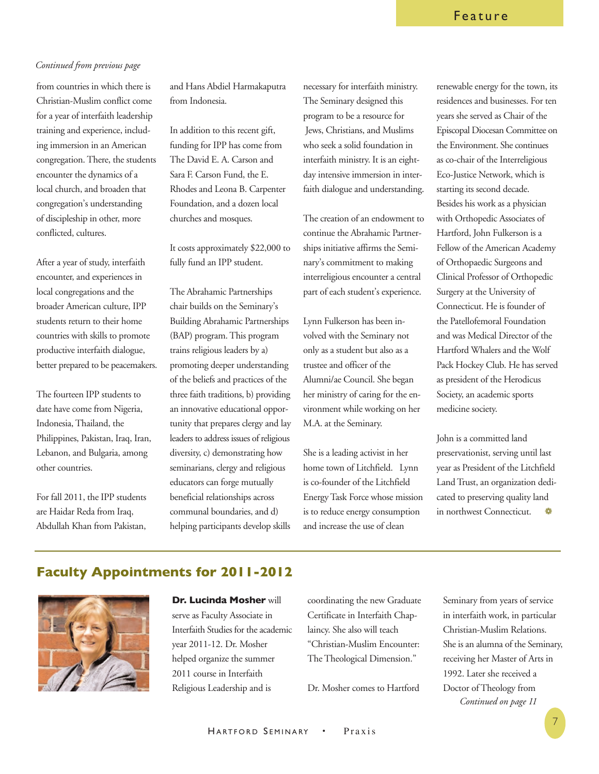### *Continued from previous page*

from countries in which there is Christian-Muslim conflict come for a year of interfaith leadership training and experience, including immersion in an American congregation. There, the students encounter the dynamics of a local church, and broaden that congregation's understanding of discipleship in other, more conflicted, cultures.

After a year of study, interfaith encounter, and experiences in local congregations and the broader American culture, IPP students return to their home countries with skills to promote productive interfaith dialogue, better prepared to be peacemakers.

The fourteen IPP students to date have come from Nigeria, Indonesia, Thailand, the Philippines, Pakistan, Iraq, Iran, Lebanon, and Bulgaria, among other countries.

For fall 2011, the IPP students are Haidar Reda from Iraq, Abdullah Khan from Pakistan, and Hans Abdiel Harmakaputra from Indonesia.

In addition to this recent gift, funding for IPP has come from The David E. A. Carson and Sara F. Carson Fund, the E. Rhodes and Leona B. Carpenter Foundation, and a dozen local churches and mosques.

It costs approximately \$22,000 to fully fund an IPP student.

The Abrahamic Partnerships chair builds on the Seminary's Building Abrahamic Partnerships (BAP) program. This program trains religious leaders by a) promoting deeper understanding of the beliefs and practices of the three faith traditions, b) providing an innovative educational opportunity that prepares clergy and lay leaders to address issues of religious diversity, c) demonstrating how seminarians, clergy and religious educators can forge mutually beneficial relationships across communal boundaries, and d) helping participants develop skills

necessary for interfaith ministry. The Seminary designed this program to be a resource for Jews, Christians, and Muslims who seek a solid foundation in interfaith ministry. It is an eightday intensive immersion in interfaith dialogue and understanding.

The creation of an endowment to continue the Abrahamic Partnerships initiative affirms the Seminary's commitment to making interreligious encounter a central part of each student's experience.

Lynn Fulkerson has been involved with the Seminary not only as a student but also as a trustee and officer of the Alumni/ae Council. She began her ministry of caring for the environment while working on her M.A. at the Seminary.

She is a leading activist in her home town of Litchfield. Lynn is co-founder of the Litchfield Energy Task Force whose mission is to reduce energy consumption and increase the use of clean

renewable energy for the town, its residences and businesses. For ten years she served as Chair of the Episcopal Diocesan Committee on the Environment. She continues as co-chair of the Interreligious Eco-Justice Network, which is starting its second decade. Besides his work as a physician with Orthopedic Associates of Hartford, John Fulkerson is a Fellow of the American Academy of Orthopaedic Surgeons and Clinical Professor of Orthopedic Surgery at the University of Connecticut. He is founder of the Patellofemoral Foundation and was Medical Director of the Hartford Whalers and the Wolf Pack Hockey Club. He has served as president of the Herodicus Society, an academic sports medicine society.

John is a committed land preservationist, serving until last year as President of the Litchfield Land Trust, an organization dedicated to preserving quality land in northwest Connecticut.

# **Faculty Appointments for 2011-2012**



**Dr. Lucinda Mosher** will serve as Faculty Associate in Interfaith Studies for the academic year 2011-12. Dr. Mosher helped organize the summer 2011 course in Interfaith

Religious Leadership and is

coordinating the new Graduate Certificate in Interfaith Chaplaincy. She also will teach "Christian-Muslim Encounter: The Theological Dimension."

Dr. Mosher comes to Hartford

Seminary from years of service in interfaith work, in particular Christian-Muslim Relations. She is an alumna of the Seminary, receiving her Master of Arts in 1992. Later she received a Doctor of Theology from *Continued on page 11*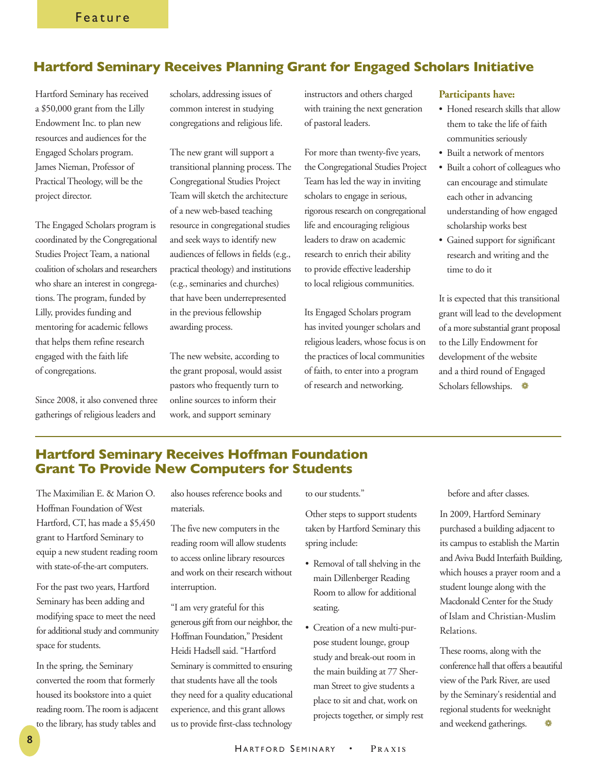# **Hartford Seminary Receives Planning Grant for Engaged Scholars Initiative**

Hartford Seminary has received a \$50,000 grant from the Lilly Endowment Inc. to plan new resources and audiences for the Engaged Scholars program. James Nieman, Professor of Practical Theology, will be the project director.

The Engaged Scholars program is coordinated by the Congregational Studies Project Team, a national coalition of scholars and researchers who share an interest in congregations. The program, funded by Lilly, provides funding and mentoring for academic fellows that helps them refine research engaged with the faith life of congregations.

Since 2008, it also convened three gatherings of religious leaders and

scholars, addressing issues of common interest in studying congregations and religious life.

The new grant will support a transitional planning process. The Congregational Studies Project Team will sketch the architecture of a new web-based teaching resource in congregational studies and seek ways to identify new audiences of fellows in fields (e.g., practical theology) and institutions (e.g., seminaries and churches) that have been underrepresented in the previous fellowship awarding process.

The new website, according to the grant proposal, would assist pastors who frequently turn to online sources to inform their work, and support seminary

instructors and others charged with training the next generation of pastoral leaders.

For more than twenty-five years, the Congregational Studies Project Team has led the way in inviting scholars to engage in serious, rigorous research on congregational life and encouraging religious leaders to draw on academic research to enrich their ability to provide effective leadership to local religious communities.

Its Engaged Scholars program has invited younger scholars and religious leaders, whose focus is on the practices of local communities of faith, to enter into a program of research and networking.

### **Participants have:**

- Honed research skills that allow them to take the life of faith communities seriously
- Built a network of mentors
- Built a cohort of colleagues who can encourage and stimulate each other in advancing understanding of how engaged scholarship works best
- Gained support for significant research and writing and the time to do it

It is expected that this transitional grant will lead to the development of a more substantial grant proposal to the Lilly Endowment for development of the website and a third round of Engaged Scholars fellowships.  $\bullet$ 

# **Hartford Seminary Receives Hoffman Foundation Grant To Provide New Computers for Students**

The Maximilian E. & Marion O. Hoffman Foundation of West Hartford, CT, has made a \$5,450 grant to Hartford Seminary to equip a new student reading room with state-of-the-art computers.

For the past two years, Hartford Seminary has been adding and modifying space to meet the need for additional study and community space for students.

In the spring, the Seminary converted the room that formerly housed its bookstore into a quiet reading room. The room is adjacent to the library, has study tables and

also houses reference books and materials.

The five new computers in the reading room will allow students to access online library resources and work on their research without interruption.

"I am very grateful for this generous gift from our neighbor, the Hoffman Foundation," President Heidi Hadsell said. "Hartford Seminary is committed to ensuring that students have all the tools they need for a quality educational experience, and this grant allows us to provide first-class technology

to our students."

Other steps to support students taken by Hartford Seminary this spring include:

- Removal of tall shelving in the main Dillenberger Reading Room to allow for additional seating.
- Creation of a new multi-purpose student lounge, group study and break-out room in the main building at 77 Sherman Street to give students a place to sit and chat, work on projects together, or simply rest

before and after classes.

In 2009, Hartford Seminary purchased a building adjacent to its campus to establish the Martin and Aviva Budd Interfaith Building, which houses a prayer room and a student lounge along with the Macdonald Center for the Study of Islam and Christian-Muslim Relations.

These rooms, along with the conference hall that offers a beautiful view of the Park River, are used by the Seminary's residential and regional students for weeknight and weekend gatherings.  $\bullet$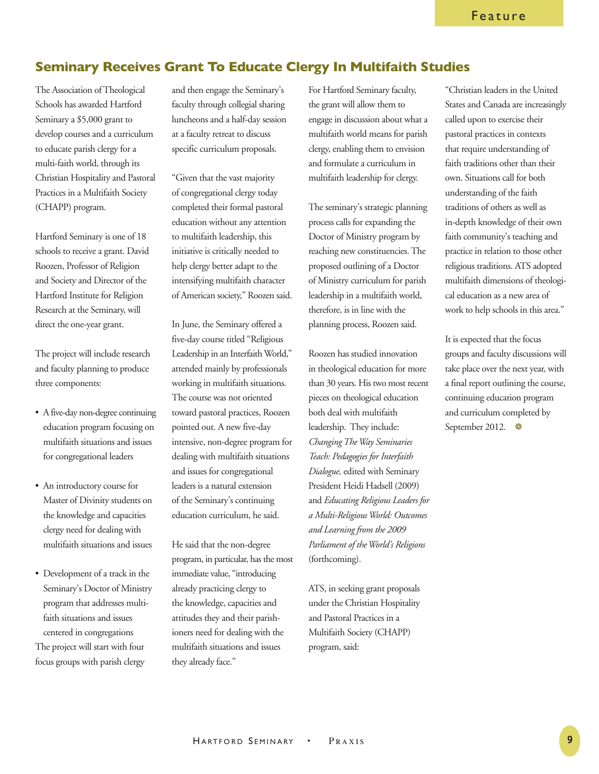# **Seminary Receives Grant To Educate Clergy In Multifaith Studies**

The Association of Theological Schools has awarded Hartford Seminary a \$5,000 grant to develop courses and a curriculum to educate parish clergy for a multi-faith world, through its Christian Hospitality and Pastoral Practices in a Multifaith Society (CHAPP) program.

Hartford Seminary is one of 18 schools to receive a grant. David Roozen, Professor of Religion and Society and Director of the Hartford Institute for Religion Research at the Seminary, will direct the one-year grant.

The project will include research and faculty planning to produce three components:

- A five-day non-degree continuing education program focusing on multifaith situations and issues for congregational leaders
- An introductory course for Master of Divinity students on the knowledge and capacities clergy need for dealing with multifaith situations and issues
- Development of a track in the Seminary's Doctor of Ministry program that addresses multifaith situations and issues centered in congregations The project will start with four focus groups with parish clergy

and then engage the Seminary's faculty through collegial sharing luncheons and a half-day session at a faculty retreat to discuss specific curriculum proposals.

"Given that the vast majority of congregational clergy today completed their formal pastoral education without any attention to multifaith leadership, this initiative is critically needed to help clergy better adapt to the intensifying multifaith character of American society," Roozen said.

In June, the Seminary offered a five-day course titled "Religious Leadership in an Interfaith World," attended mainly by professionals working in multifaith situations. The course was not oriented toward pastoral practices, Roozen pointed out. A new five-day intensive, non-degree program for dealing with multifaith situations and issues for congregational leaders is a natural extension of the Seminary's continuing education curriculum, he said.

He said that the non-degree program, in particular, has the most immediate value, "introducing already practicing clergy to the knowledge, capacities and attitudes they and their parishioners need for dealing with the multifaith situations and issues they already face."

For Hartford Seminary faculty, the grant will allow them to engage in discussion about what a multifaith world means for parish clergy, enabling them to envision and formulate a curriculum in multifaith leadership for clergy.

The seminary's strategic planning process calls for expanding the Doctor of Ministry program by reaching new constituencies. The proposed outlining of a Doctor of Ministry curriculum for parish leadership in a multifaith world, therefore, is in line with the planning process, Roozen said.

Roozen has studied innovation in theological education for more than 30 years. His two most recent pieces on theological education both deal with multifaith leadership. They include: *Changing The Way Seminaries Teach: Pedagogies for Interfaith Dialogue,* edited with Seminary President Heidi Hadsell (2009) and *Educating Religious Leaders for a Multi-Religious World: Outcomes and Learning from the 2009 Parliament of the World's Religions* (forthcoming).

ATS, in seeking grant proposals under the Christian Hospitality and Pastoral Practices in a Multifaith Society (CHAPP) program, said:

"Christian leaders in the United States and Canada are increasingly called upon to exercise their pastoral practices in contexts that require understanding of faith traditions other than their own. Situations call for both understanding of the faith traditions of others as well as in-depth knowledge of their own faith community's teaching and practice in relation to those other religious traditions. ATS adopted multifaith dimensions of theological education as a new area of work to help schools in this area."

It is expected that the focus groups and faculty discussions will take place over the next year, with a final report outlining the course, continuing education program and curriculum completed by September 2012.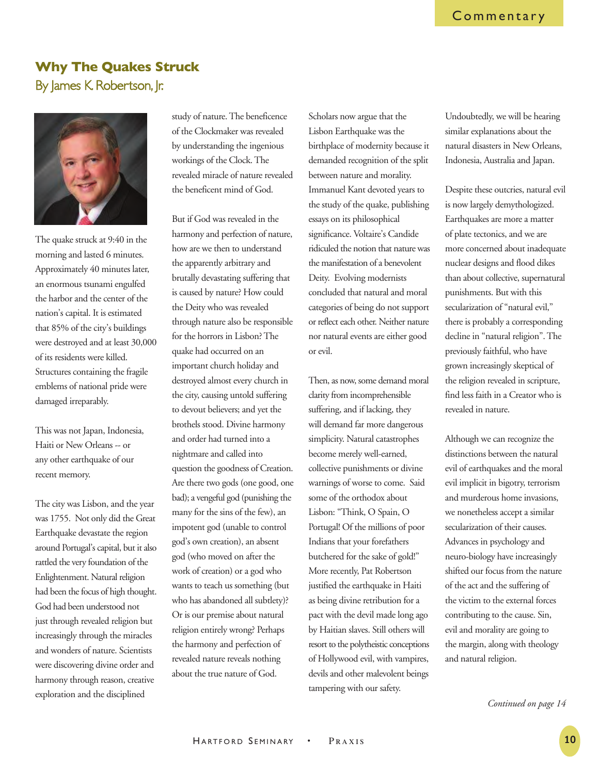# **Why The Quakes Struck** By James K. Robertson, Jr.



The quake struck at 9:40 in the morning and lasted 6 minutes. Approximately 40 minutes later, an enormous tsunami engulfed the harbor and the center of the nation's capital. It is estimated that 85% of the city's buildings were destroyed and at least 30,000 of its residents were killed. Structures containing the fragile emblems of national pride were damaged irreparably.

This was not Japan, Indonesia, Haiti or New Orleans -- or any other earthquake of our recent memory.

The city was Lisbon, and the year was 1755. Not only did the Great Earthquake devastate the region around Portugal's capital, but it also rattled the very foundation of the Enlightenment. Natural religion had been the focus of high thought. God had been understood not just through revealed religion but increasingly through the miracles and wonders of nature. Scientists were discovering divine order and harmony through reason, creative exploration and the disciplined

study of nature. The beneficence of the Clockmaker was revealed by understanding the ingenious workings of the Clock. The revealed miracle of nature revealed the beneficent mind of God.

But if God was revealed in the harmony and perfection of nature, how are we then to understand the apparently arbitrary and brutally devastating suffering that is caused by nature? How could the Deity who was revealed through nature also be responsible for the horrors in Lisbon? The quake had occurred on an important church holiday and destroyed almost every church in the city, causing untold suffering to devout believers; and yet the brothels stood. Divine harmony and order had turned into a nightmare and called into question the goodness of Creation. Are there two gods (one good, one bad); a vengeful god (punishing the many for the sins of the few), an impotent god (unable to control god's own creation), an absent god (who moved on after the work of creation) or a god who wants to teach us something (but who has abandoned all subtlety)? Or is our premise about natural religion entirely wrong? Perhaps the harmony and perfection of revealed nature reveals nothing about the true nature of God.

Scholars now argue that the Lisbon Earthquake was the birthplace of modernity because it demanded recognition of the split between nature and morality. Immanuel Kant devoted years to the study of the quake, publishing essays on its philosophical significance. Voltaire's Candide ridiculed the notion that nature was the manifestation of a benevolent Deity. Evolving modernists concluded that natural and moral categories of being do not support or reflect each other. Neither nature nor natural events are either good or evil.

Then, as now, some demand moral clarity from incomprehensible suffering, and if lacking, they will demand far more dangerous simplicity. Natural catastrophes become merely well-earned, collective punishments or divine warnings of worse to come. Said some of the orthodox about Lisbon: "Think, O Spain, O Portugal! Of the millions of poor Indians that your forefathers butchered for the sake of gold!" More recently, Pat Robertson justified the earthquake in Haiti as being divine retribution for a pact with the devil made long ago by Haitian slaves. Still others will resort to the polytheistic conceptions of Hollywood evil, with vampires, devils and other malevolent beings tampering with our safety.

Undoubtedly, we will be hearing similar explanations about the natural disasters in New Orleans, Indonesia, Australia and Japan.

Despite these outcries, natural evil is now largely demythologized. Earthquakes are more a matter of plate tectonics, and we are more concerned about inadequate nuclear designs and flood dikes than about collective, supernatural punishments. But with this secularization of "natural evil," there is probably a corresponding decline in "natural religion". The previously faithful, who have grown increasingly skeptical of the religion revealed in scripture, find less faith in a Creator who is revealed in nature.

Although we can recognize the distinctions between the natural evil of earthquakes and the moral evil implicit in bigotry, terrorism and murderous home invasions, we nonetheless accept a similar secularization of their causes. Advances in psychology and neuro-biology have increasingly shifted our focus from the nature of the act and the suffering of the victim to the external forces contributing to the cause. Sin, evil and morality are going to the margin, along with theology and natural religion.

*Continued on page 14*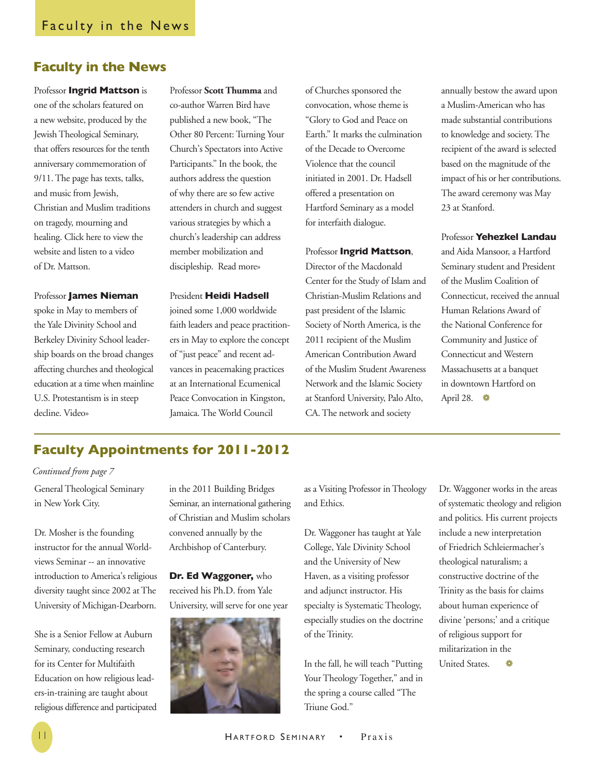# **Faculty in the News**

Professor **Ingrid Mattson** is one of the scholars featured on a new website, produced by the Jewish Theological Seminary, that offers resources for the tenth anniversary commemoration of 9/11. The page has texts, talks, and music from Jewish, Christian and Muslim traditions on tragedy, mourning and healing. [Click here](http://www.jtsa.edu/ourbetterangels) to view the website and listen to a video of Dr. Mattson.

### Professor **James Nieman**

spoke in May to members of the Yale Divinity School and Berkeley Divinity School leadership boards on the broad changes affecting churches and theological education at a time when mainline U.S. Protestantism is in steep decline. [Video»](http://www.yale.edu/divinity/video/nieman.shtml)

Professor **Scott Thumma** and co-author Warren Bird have published a new book, "The Other 80 Percent: Turning Your Church's Spectators into Active Participants." In the book, the authors address the question of why there are so few active attenders in church and suggest various strategies by which a church's leadership can address member mobilization and discipleship. [Read more»](http://hirr.hartsem.edu/theother80percent.htm)

### President **Heidi Hadsell**

joined some 1,000 worldwide faith leaders and peace practitioners in May to explore the concept of "just peace" and recent advances in peacemaking practices at an International Ecumenical Peace Convocation in Kingston, Jamaica. The World Council

of Churches sponsored the convocation, whose theme is "Glory to God and Peace on Earth." It marks the culmination of the Decade to Overcome Violence that the council initiated in 2001. Dr. Hadsell offered a presentation on Hartford Seminary as a model for interfaith dialogue.

### Professor **Ingrid Mattson**,

Director of the Macdonald Center for the Study of Islam and Christian-Muslim Relations and past president of the Islamic Society of North America, is the 2011 recipient of the Muslim American Contribution Award of the Muslim Student Awareness Network and the Islamic Society at Stanford University, Palo Alto, CA. The network and society

annually bestow the award upon a Muslim-American who has made substantial contributions to knowledge and society. The recipient of the award is selected based on the magnitude of the impact of his or her contributions. The award ceremony was May 23 at Stanford.

Professor **Yehezkel Landau** and Aida Mansoor, a Hartford Seminary student and President of the Muslim Coalition of Connecticut, received the annual Human Relations Award of the National Conference for Community and Justice of Connecticut and Western Massachusetts at a banquet in downtown Hartford on April 28.  $\bullet$ 

# **Faculty Appointments for 2011-2012**

*Continued from page 7*

General Theological Seminary in New York City.

Dr. Mosher is the founding instructor for the annual Worldviews Seminar -- an innovative introduction to America's religious diversity taught since 2002 at The University of Michigan-Dearborn.

She is a Senior Fellow at Auburn Seminary, conducting research for its Center for Multifaith Education on how religious leaders-in-training are taught about religious difference and participated

in the 2011 Building Bridges Seminar, an international gathering of Christian and Muslim scholars convened annually by the Archbishop of Canterbury.

**Dr. Ed Waggoner,** who received his Ph.D. from Yale University, will serve for one year



as a Visiting Professor in Theology and Ethics.

Dr. Waggoner has taught at Yale College, Yale Divinity School and the University of New Haven, as a visiting professor and adjunct instructor. His specialty is Systematic Theology, especially studies on the doctrine of the Trinity.

In the fall, he will teach "Putting Your Theology Together," and in the spring a course called "The Triune God."

Dr. Waggoner works in the areas of systematic theology and religion and politics. His current projects include a new interpretation of Friedrich Schleiermacher's theological naturalism; a constructive doctrine of the Trinity as the basis for claims about human experience of divine 'persons;' and a critique of religious support for militarization in the United States.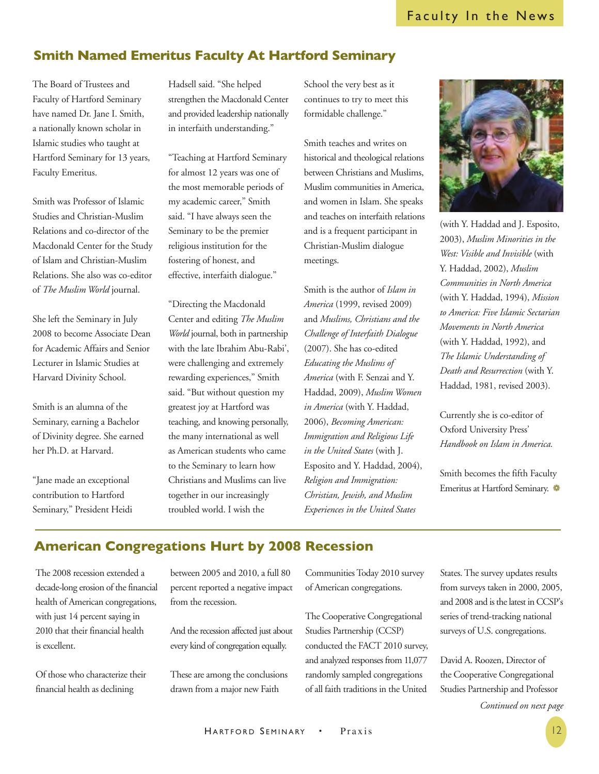# **Smith Named Emeritus Faculty At Hartford Seminary**

The Board of Trustees and Faculty of Hartford Seminary have named Dr. Jane I. Smith, a nationally known scholar in Islamic studies who taught at Hartford Seminary for 13 years, Faculty Emeritus.

Smith was Professor of Islamic Studies and Christian-Muslim Relations and co-director of the Macdonald Center for the Study of Islam and Christian-Muslim Relations. She also was co-editor of *The Muslim World* journal.

She left the Seminary in July 2008 to become Associate Dean for Academic Affairs and Senior Lecturer in Islamic Studies at Harvard Divinity School.

Smith is an alumna of the Seminary, earning a Bachelor of Divinity degree. She earned her Ph.D. at Harvard.

"Jane made an exceptional contribution to Hartford Seminary," President Heidi Hadsell said. "She helped strengthen the Macdonald Center and provided leadership nationally in interfaith understanding."

"Teaching at Hartford Seminary for almost 12 years was one of the most memorable periods of my academic career," Smith said. "I have always seen the Seminary to be the premier religious institution for the fostering of honest, and effective, interfaith dialogue."

"Directing the Macdonald Center and editing *The Muslim World* journal, both in partnership with the late Ibrahim Abu-Rabi', were challenging and extremely rewarding experiences," Smith said. "But without question my greatest joy at Hartford was teaching, and knowing personally, the many international as well as American students who came to the Seminary to learn how Christians and Muslims can live together in our increasingly troubled world. I wish the

School the very best as it continues to try to meet this formidable challenge."

Smith teaches and writes on historical and theological relations between Christians and Muslims, Muslim communities in America, and women in Islam. She speaks and teaches on interfaith relations and is a frequent participant in Christian-Muslim dialogue meetings.

Smith is the author of *Islam in America* (1999, revised 2009) and *Muslims, Christians and the Challenge of Interfaith Dialogue* (2007). She has co-edited *Educating the Muslims of America* (with F. Senzai and Y. Haddad, 2009), *Muslim Women in America* (with Y. Haddad, 2006), *Becoming American: Immigration and Religious Life in the United States* (with J. Esposito and Y. Haddad, 2004), *Religion and Immigration: Christian, Jewish, and Muslim Experiences in the United States*



(with Y. Haddad and J. Esposito, 2003), *Muslim Minorities in the West: Visible and Invisible* (with Y. Haddad, 2002), *Muslim Communities in North America* (with Y. Haddad, 1994), *Mission to America: Five Islamic Sectarian Movements in North America* (with Y. Haddad, 1992), and *The Islamic Understanding of Death and Resurrection* (with Y. Haddad, 1981, revised 2003).

Currently she is co-editor of Oxford University Press' *Handbook on Islam in America.*

Smith becomes the fifth Faculty Emeritus at Hartford Seminary.

# **American Congregations Hurt by 2008 Recession**

The 2008 recession extended a decade-long erosion of the financial health of American congregations, with just 14 percent saying in 2010 that their financial health is excellent.

Of those who characterize their financial health as declining

between 2005 and 2010, a full 80 percent reported a negative impact from the recession.

And the recession affected just about every kind of congregation equally.

These are among the conclusions drawn from a major new Faith

Communities Today 2010 survey of American congregations.

The Cooperative Congregational Studies Partnership (CCSP) conducted the FACT 2010 survey, and analyzed responses from 11,077 randomly sampled congregations of all faith traditions in the United

States. The survey updates results from surveys taken in 2000, 2005, and 2008 and is the latest in CCSP's series of trend-tracking national surveys of U.S. congregations.

David A. Roozen, Director of the Cooperative Congregational Studies Partnership and Professor *Continued on next page*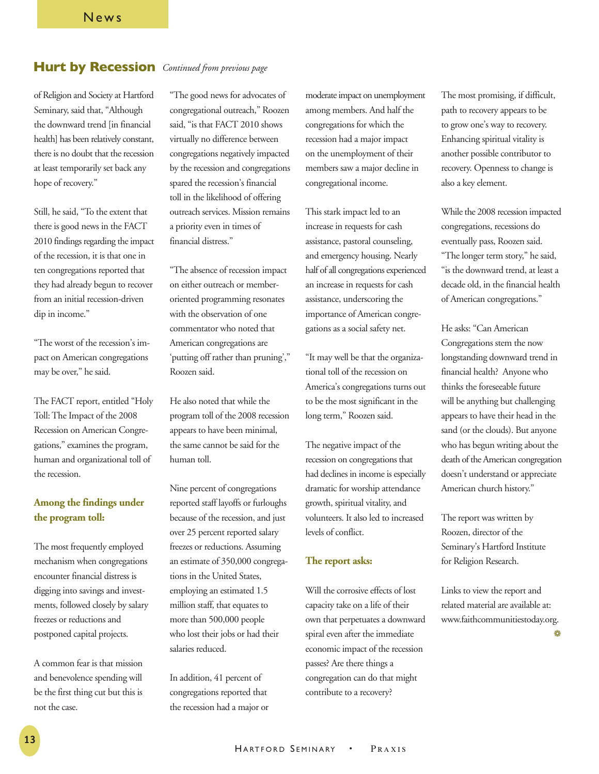### **News**

# **Hurt by Recession** *Continued from previous page*

of Religion and Society at Hartford Seminary, said that, "Although the downward trend [in financial health] has been relatively constant, there is no doubt that the recession at least temporarily set back any hope of recovery."

Still, he said, "To the extent that there is good news in the FACT 2010 findings regarding the impact of the recession, it is that one in ten congregations reported that they had already begun to recover from an initial recession-driven dip in income."

"The worst of the recession's impact on American congregations may be over," he said.

The FACT report, entitled "Holy Toll: The Impact of the 2008 Recession on American Congregations," examines the program, human and organizational toll of the recession.

### **Among the findings under the program toll:**

The most frequently employed mechanism when congregations encounter financial distress is digging into savings and investments, followed closely by salary freezes or reductions and postponed capital projects.

A common fear is that mission and benevolence spending will be the first thing cut but this is not the case.

"The good news for advocates of congregational outreach," Roozen said, "is that FACT 2010 shows virtually no difference between congregations negatively impacted by the recession and congregations spared the recession's financial toll in the likelihood of offering outreach services. Mission remains a priority even in times of financial distress."

"The absence of recession impact on either outreach or memberoriented programming resonates with the observation of one commentator who noted that American congregations are 'putting off rather than pruning'," Roozen said.

He also noted that while the program toll of the 2008 recession appears to have been minimal, the same cannot be said for the human toll.

Nine percent of congregations reported staff layoffs or furloughs because of the recession, and just over 25 percent reported salary freezes or reductions. Assuming an estimate of 350,000 congregations in the United States, employing an estimated 1.5 million staff, that equates to more than 500,000 people who lost their jobs or had their salaries reduced.

In addition, 41 percent of congregations reported that the recession had a major or moderate impact on unemployment among members. And half the congregations for which the recession had a major impact on the unemployment of their members saw a major decline in congregational income.

This stark impact led to an increase in requests for cash assistance, pastoral counseling, and emergency housing. Nearly half of all congregations experienced an increase in requests for cash assistance, underscoring the importance of American congregations as a social safety net.

"It may well be that the organizational toll of the recession on America's congregations turns out to be the most significant in the long term," Roozen said.

The negative impact of the recession on congregations that had declines in income is especially dramatic for worship attendance growth, spiritual vitality, and volunteers. It also led to increased levels of conflict.

### **The report asks:**

Will the corrosive effects of lost capacity take on a life of their own that perpetuates a downward spiral even after the immediate economic impact of the recession passes? Are there things a congregation can do that might contribute to a recovery?

The most promising, if difficult, path to recovery appears to be to grow one's way to recovery. Enhancing spiritual vitality is another possible contributor to recovery. Openness to change is also a key element.

While the 2008 recession impacted congregations, recessions do eventually pass, Roozen said. "The longer term story," he said, "is the downward trend, at least a decade old, in the financial health of American congregations."

He asks: "Can American Congregations stem the now longstanding downward trend in financial health? Anyone who thinks the foreseeable future will be anything but challenging appears to have their head in the sand (or the clouds). But anyone who has begun writing about the death of the American congregation doesn't understand or appreciate American church history."

The report was written by Roozen, director of the Seminary's Hartford Institute for Religion Research.

Links to view the report and related material are available at: www.faithcommunitiestoday.org.

a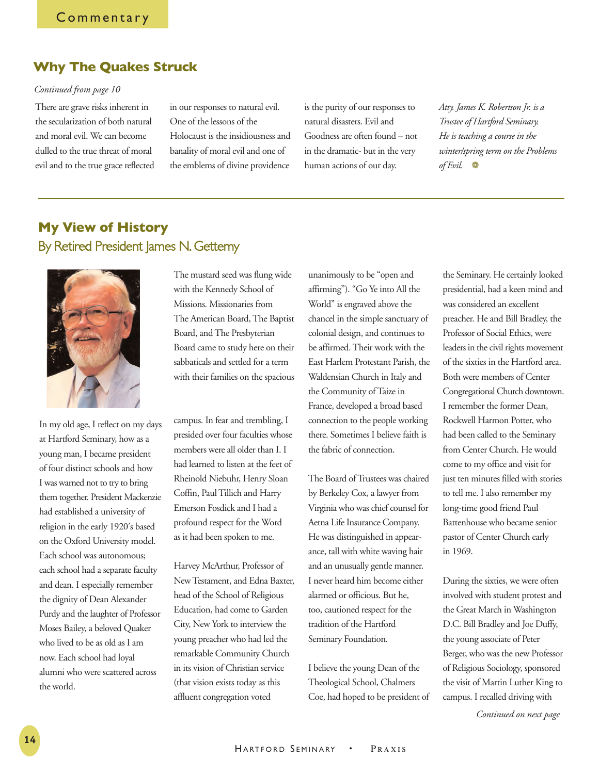# **Why The Quakes Struck**

### *Continued from page 10*

There are grave risks inherent in the secularization of both natural and moral evil. We can become dulled to the true threat of moral evil and to the true grace reflected in our responses to natural evil. One of the lessons of the Holocaust is the insidiousness and banality of moral evil and one of the emblems of divine providence

is the purity of our responses to natural disasters. Evil and Goodness are often found – not in the dramatic- but in the very human actions of our day.

*Atty. James K. Robertson Jr. is a Trustee of Hartford Seminary. He is teaching a course in the winter/spring term on the Problems of Evil.* a

# **My View of History** By Retired President James N. Gettemy



In my old age, I reflect on my days at Hartford Seminary, how as a young man, I became president of four distinct schools and how I was warned not to try to bring them together. President Mackenzie had established a university of religion in the early 1920's based on the Oxford University model. Each school was autonomous; each school had a separate faculty and dean. I especially remember the dignity of Dean Alexander Purdy and the laughter of Professor Moses Bailey, a beloved Quaker who lived to be as old as I am now. Each school had loyal alumni who were scattered across the world.

The mustard seed was flung wide with the Kennedy School of Missions. Missionaries from The American Board, The Baptist Board, and The Presbyterian Board came to study here on their sabbaticals and settled for a term with their families on the spacious

campus. In fear and trembling, I presided over four faculties whose members were all older than I. I had learned to listen at the feet of Rheinold Niebuhr, Henry Sloan Coffin, Paul Tillich and Harry Emerson Fosdick and I had a profound respect for the Word as it had been spoken to me.

Harvey McArthur, Professor of New Testament, and Edna Baxter, head of the School of Religious Education, had come to Garden City, New York to interview the young preacher who had led the remarkable Community Church in its vision of Christian service (that vision exists today as this affluent congregation voted

unanimously to be "open and affirming"). "Go Ye into All the World" is engraved above the chancel in the simple sanctuary of colonial design, and continues to be affirmed. Their work with the East Harlem Protestant Parish, the Waldensian Church in Italy and the Community of Taize in France, developed a broad based connection to the people working there. Sometimes I believe faith is the fabric of connection.

The Board of Trustees was chaired by Berkeley Cox, a lawyer from Virginia who was chief counsel for Aetna Life Insurance Company. He was distinguished in appearance, tall with white waving hair and an unusually gentle manner. I never heard him become either alarmed or officious. But he, too, cautioned respect for the tradition of the Hartford Seminary Foundation.

I believe the young Dean of the Theological School, Chalmers Coe, had hoped to be president of

the Seminary. He certainly looked presidential, had a keen mind and was considered an excellent preacher. He and Bill Bradley, the Professor of Social Ethics, were leaders in the civil rights movement of the sixties in the Hartford area. Both were members of Center Congregational Church downtown. I remember the former Dean, Rockwell Harmon Potter, who had been called to the Seminary from Center Church. He would come to my office and visit for just ten minutes filled with stories to tell me. I also remember my long-time good friend Paul Battenhouse who became senior pastor of Center Church early in 1969.

During the sixties, we were often involved with student protest and the Great March in Washington D.C. Bill Bradley and Joe Duffy, the young associate of Peter Berger, who was the new Professor of Religious Sociology, sponsored the visit of Martin Luther King to campus. I recalled driving with

*Continued on next page*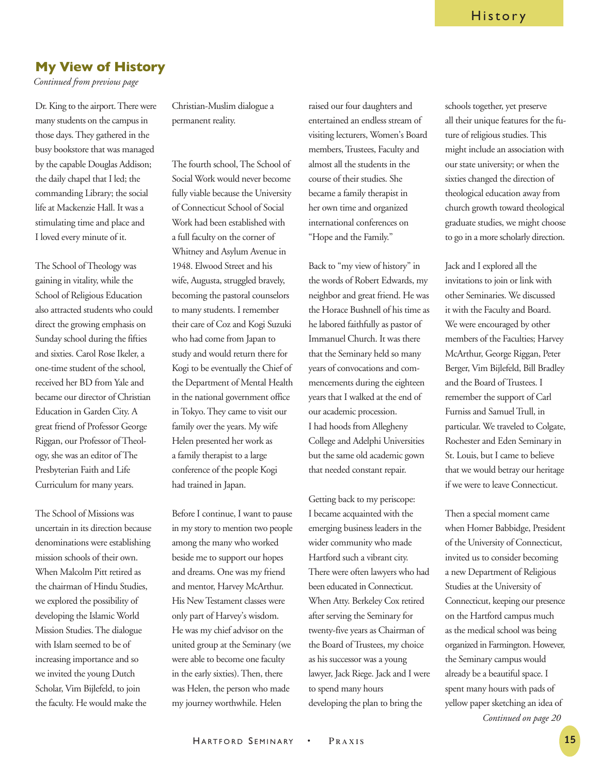# **My View of History**

*Continued from previous page*

Dr. King to the airport. There were many students on the campus in those days. They gathered in the busy bookstore that was managed by the capable Douglas Addison; the daily chapel that I led; the commanding Library; the social life at Mackenzie Hall. It was a stimulating time and place and I loved every minute of it.

The School of Theology was gaining in vitality, while the School of Religious Education also attracted students who could direct the growing emphasis on Sunday school during the fifties and sixties. Carol Rose Ikeler, a one-time student of the school, received her BD from Yale and became our director of Christian Education in Garden City. A great friend of Professor George Riggan, our Professor of Theology, she was an editor of The Presbyterian Faith and Life Curriculum for many years.

The School of Missions was uncertain in its direction because denominations were establishing mission schools of their own. When Malcolm Pitt retired as the chairman of Hindu Studies, we explored the possibility of developing the Islamic World Mission Studies. The dialogue with Islam seemed to be of increasing importance and so we invited the young Dutch Scholar, Vim Bijlefeld, to join the faculty. He would make the

Christian-Muslim dialogue a permanent reality.

The fourth school, The School of Social Work would never become fully viable because the University of Connecticut School of Social Work had been established with a full faculty on the corner of Whitney and Asylum Avenue in 1948. Elwood Street and his wife, Augusta, struggled bravely, becoming the pastoral counselors to many students. I remember their care of Coz and Kogi Suzuki who had come from Japan to study and would return there for Kogi to be eventually the Chief of the Department of Mental Health in the national government office in Tokyo. They came to visit our family over the years. My wife Helen presented her work as a family therapist to a large conference of the people Kogi had trained in Japan.

Before I continue, I want to pause in my story to mention two people among the many who worked beside me to support our hopes and dreams. One was my friend and mentor, Harvey McArthur. His New Testament classes were only part of Harvey's wisdom. He was my chief advisor on the united group at the Seminary (we were able to become one faculty in the early sixties). Then, there was Helen, the person who made my journey worthwhile. Helen

raised our four daughters and entertained an endless stream of visiting lecturers, Women's Board members, Trustees, Faculty and almost all the students in the course of their studies. She became a family therapist in her own time and organized international conferences on "Hope and the Family."

Back to "my view of history" in the words of Robert Edwards, my neighbor and great friend. He was the Horace Bushnell of his time as he labored faithfully as pastor of Immanuel Church. It was there that the Seminary held so many years of convocations and commencements during the eighteen years that I walked at the end of our academic procession. I had hoods from Allegheny College and Adelphi Universities but the same old academic gown that needed constant repair.

Getting back to my periscope: I became acquainted with the emerging business leaders in the wider community who made Hartford such a vibrant city. There were often lawyers who had been educated in Connecticut. When Atty. Berkeley Cox retired after serving the Seminary for twenty-five years as Chairman of the Board of Trustees, my choice as his successor was a young lawyer, Jack Riege. Jack and I were to spend many hours developing the plan to bring the

schools together, yet preserve all their unique features for the future of religious studies. This might include an association with our state university; or when the sixties changed the direction of theological education away from church growth toward theological graduate studies, we might choose to go in a more scholarly direction.

Jack and I explored all the invitations to join or link with other Seminaries. We discussed it with the Faculty and Board. We were encouraged by other members of the Faculties; Harvey McArthur, George Riggan, Peter Berger, Vim Bijlefeld, Bill Bradley and the Board of Trustees. I remember the support of Carl Furniss and Samuel Trull, in particular. We traveled to Colgate, Rochester and Eden Seminary in St. Louis, but I came to believe that we would betray our heritage if we were to leave Connecticut.

Then a special moment came when Homer Babbidge, President of the University of Connecticut, invited us to consider becoming a new Department of Religious Studies at the University of Connecticut, keeping our presence on the Hartford campus much as the medical school was being organized in Farmington. However, the Seminary campus would already be a beautiful space. I spent many hours with pads of yellow paper sketching an idea of *Continued on page 20*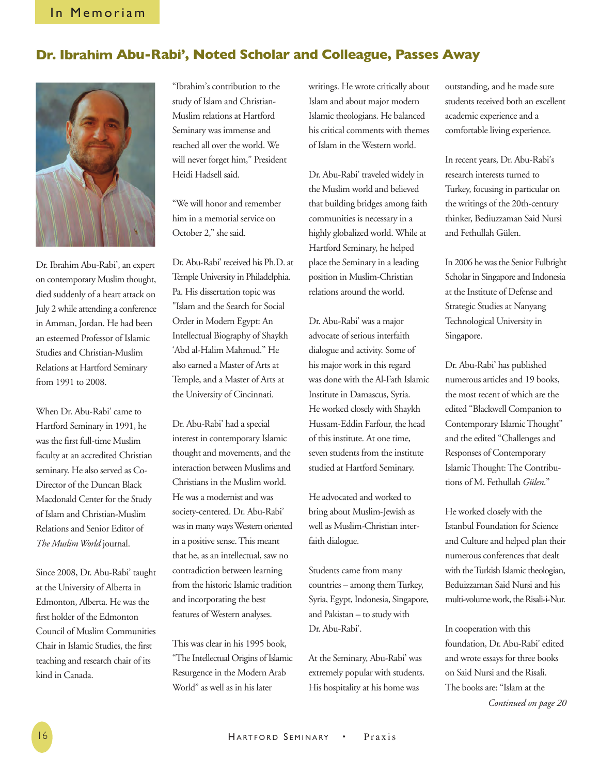# **Dr. Ibrahim Abu-Rabi', Noted Scholar and Colleague, Passes Away**



Dr. Ibrahim Abu-Rabi', an expert on contemporary Muslim thought, died suddenly of a heart attack on July 2 while attending a conference in Amman, Jordan. He had been an esteemed Professor of Islamic Studies and Christian-Muslim Relations at Hartford Seminary from 1991 to 2008.

When Dr. Abu-Rabi' came to Hartford Seminary in 1991, he was the first full-time Muslim faculty at an accredited Christian seminary. He also served as Co-Director of the Duncan Black Macdonald Center for the Study of Islam and Christian-Muslim Relations and Senior Editor of *The Muslim World* journal.

Since 2008, Dr. Abu-Rabi' taught at the University of Alberta in Edmonton, Alberta. He was the first holder of the Edmonton Council of Muslim Communities Chair in Islamic Studies, the first teaching and research chair of its kind in Canada.

"Ibrahim's contribution to the study of Islam and Christian-Muslim relations at Hartford Seminary was immense and reached all over the world. We will never forget him," President Heidi Hadsell said.

"We will honor and remember him in a memorial service on October 2," she said.

Dr. Abu-Rabi' received his Ph.D. at Temple University in Philadelphia. Pa. His dissertation topic was "Islam and the Search for Social Order in Modern Egypt: An Intellectual Biography of Shaykh 'Abd al-Halim Mahmud." He also earned a Master of Arts at Temple, and a Master of Arts at the University of Cincinnati.

Dr. Abu-Rabi' had a special interest in contemporary Islamic thought and movements, and the interaction between Muslims and Christians in the Muslim world. He was a modernist and was society-centered. Dr. Abu-Rabi' was in many ways Western oriented in a positive sense. This meant that he, as an intellectual, saw no contradiction between learning from the historic Islamic tradition and incorporating the best features of Western analyses.

This was clear in his 1995 book, "The Intellectual Origins of Islamic Resurgence in the Modern Arab World" as well as in his later

writings. He wrote critically about Islam and about major modern Islamic theologians. He balanced his critical comments with themes of Islam in the Western world.

Dr. Abu-Rabi' traveled widely in the Muslim world and believed that building bridges among faith communities is necessary in a highly globalized world. While at Hartford Seminary, he helped place the Seminary in a leading position in Muslim-Christian relations around the world.

Dr. Abu-Rabi' was a major advocate of serious interfaith dialogue and activity. Some of his major work in this regard was done with the Al-Fath Islamic Institute in Damascus, Syria. He worked closely with Shaykh Hussam-Eddin Farfour, the head of this institute. At one time, seven students from the institute studied at Hartford Seminary.

He advocated and worked to bring about Muslim-Jewish as well as Muslim-Christian interfaith dialogue.

Students came from many countries – among them Turkey, Syria, Egypt, Indonesia, Singapore, and Pakistan – to study with Dr. Abu-Rabi'.

At the Seminary, Abu-Rabi' was extremely popular with students. His hospitality at his home was

outstanding, and he made sure students received both an excellent academic experience and a comfortable living experience.

In recent years, Dr. Abu-Rabi's research interests turned to Turkey, focusing in particular on the writings of the 20th-century thinker, Bediuzzaman Said Nursi and Fethullah Gülen.

In 2006 he was the Senior Fulbright Scholar in Singapore and Indonesia at the Institute of Defense and Strategic Studies at Nanyang Technological University in Singapore.

Dr. Abu-Rabi' has published numerous articles and 19 books, the most recent of which are the edited "Blackwell Companion to Contemporary Islamic Thought" and the edited "Challenges and Responses of Contemporary Islamic Thought: The Contributions of M. Fethullah *Gülen*."

He worked closely with the Istanbul Foundation for Science and Culture and helped plan their numerous conferences that dealt with the Turkish Islamic theologian, Beduizzaman Said Nursi and his multi-volume work, the Risali-i-Nur.

In cooperation with this foundation, Dr. Abu-Rabi' edited and wrote essays for three books on Said Nursi and the Risali. The books are: "Islam at the *Continued on page 20*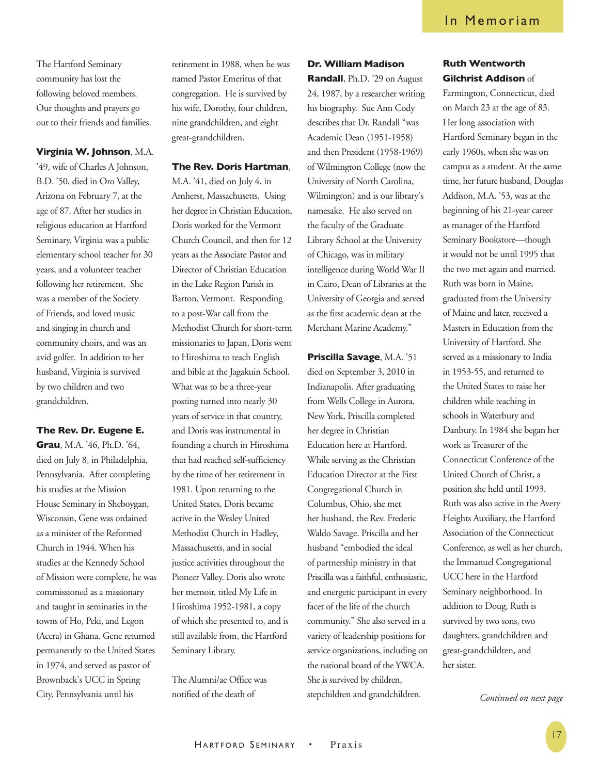The Hartford Seminary community has lost the following beloved members. Our thoughts and prayers go out to their friends and families.

### **Virginia W. Johnson**, M.A.

'49, wife of Charles A Johnson, B.D. '50, died in Oro Valley, Arizona on February 7, at the age of 87. After her studies in religious education at Hartford Seminary, Virginia was a public elementary school teacher for 30 years, and a volunteer teacher following her retirement. She was a member of the Society of Friends, and loved music and singing in church and community choirs, and was an avid golfer. In addition to her husband, Virginia is survived by two children and two grandchildren.

### **The Rev. Dr. Eugene E.**

**Grau**, M.A. '46, Ph.D. '64, died on July 8, in Philadelphia, Pennsylvania. After completing his studies at the Mission House Seminary in Sheboygan, Wisconsin, Gene was ordained as a minister of the Reformed Church in 1944. When his studies at the Kennedy School of Mission were complete, he was commissioned as a missionary and taught in seminaries in the towns of Ho, Peki, and Legon (Accra) in Ghana. Gene returned permanently to the United States in 1974, and served as pastor of Brownback's UCC in Spring City, Pennsylvania until his

retirement in 1988, when he was named Pastor Emeritus of that congregation. He is survived by his wife, Dorothy, four children, nine grandchildren, and eight great-grandchildren.

### **The Rev. Doris Hartman**,

M.A. '41, died on July 4, in Amherst, Massachusetts. Using her degree in Christian Education, Doris worked for the Vermont Church Council, and then for 12 years as the Associate Pastor and Director of Christian Education in the Lake Region Parish in Barton, Vermont. Responding to a post-War call from the Methodist Church for short-term missionaries to Japan, Doris went to Hiroshima to teach English and bible at the Jagakuin School. What was to be a three-year posting turned into nearly 30 years of service in that country, and Doris was instrumental in founding a church in Hiroshima that had reached self-sufficiency by the time of her retirement in 1981. Upon returning to the United States, Doris became active in the Wesley United Methodist Church in Hadley, Massachusetts, and in social justice activities throughout the Pioneer Valley. Doris also wrote her memoir, titled My Life in Hiroshima 1952-1981, a copy of which she presented to, and is still available from, the Hartford Seminary Library.

The Alumni/ae Office was notified of the death of

### **Dr. William Madison**

**Randall**, Ph.D. '29 on August 24, 1987, by a researcher writing his biography. Sue Ann Cody describes that Dr. Randall "was Academic Dean (1951-1958) and then President (1958-1969) of Wilmington College (now the University of North Carolina, Wilmington) and is our library's namesake. He also served on the faculty of the Graduate Library School at the University of Chicago, was in military intelligence during World War II in Cairo, Dean of Libraries at the University of Georgia and served as the first academic dean at the Merchant Marine Academy."

**Priscilla Savage**, M.A. '51 died on September 3, 2010 in Indianapolis. After graduating from Wells College in Aurora, New York, Priscilla completed her degree in Christian Education here at Hartford. While serving as the Christian Education Director at the First Congregational Church in Columbus, Ohio, she met her husband, the Rev. Frederic Waldo Savage. Priscilla and her husband "embodied the ideal of partnership ministry in that Priscilla was a faithful, enthusiastic, and energetic participant in every facet of the life of the church community." She also served in a variety of leadership positions for service organizations, including on the national board of the YWCA. She is survived by children, stepchildren and grandchildren.

### **Ruth Wentworth Gilchrist Addison** of

Farmington, Connecticut, died on March 23 at the age of 83. Her long association with Hartford Seminary began in the early 1960s, when she was on campus as a student. At the same time, her future husband, Douglas Addison, M.A. '53, was at the beginning of his 21-year career as manager of the Hartford Seminary Bookstore—though it would not be until 1995 that the two met again and married. Ruth was born in Maine, graduated from the University of Maine and later, received a Masters in Education from the University of Hartford. She served as a missionary to India in 1953-55, and returned to the United States to raise her children while teaching in schools in Waterbury and Danbury. In 1984 she began her work as Treasurer of the Connecticut Conference of the United Church of Christ, a position she held until 1993. Ruth was also active in the Avery Heights Auxiliary, the Hartford Association of the Connecticut Conference, as well as her church, the Immanuel Congregational UCC here in the Hartford Seminary neighborhood. In addition to Doug, Ruth is survived by two sons, two daughters, grandchildren and great-grandchildren, and her sister.

*Continued on next page*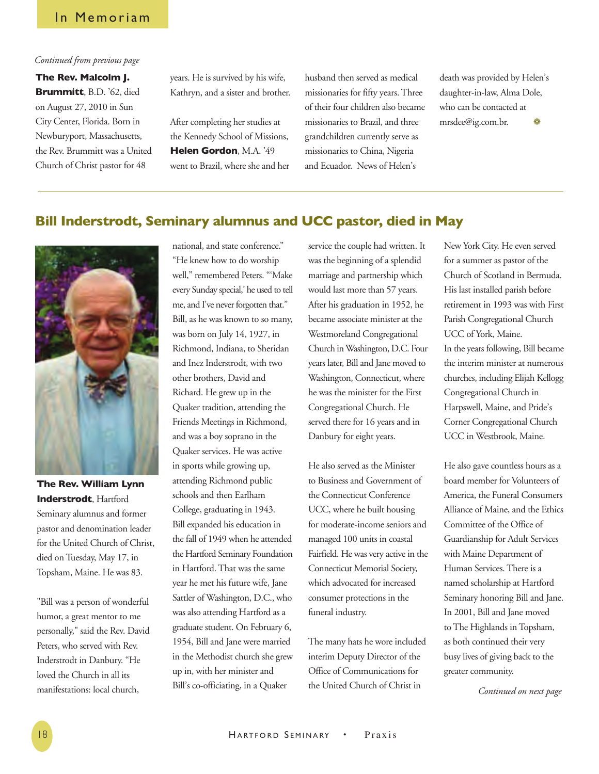# In Memoriam

### *Continued from previous page*

**The Rev. Malcolm J. Brummitt**, B.D. '62, died on August 27, 2010 in Sun City Center, Florida. Born in Newburyport, Massachusetts, the Rev. Brummitt was a United Church of Christ pastor for 48

years. He is survived by his wife, Kathryn, and a sister and brother.

After completing her studies at the Kennedy School of Missions, **Helen Gordon**, M.A. '49 went to Brazil, where she and her husband then served as medical missionaries for fifty years. Three of their four children also became missionaries to Brazil, and three grandchildren currently serve as missionaries to China, Nigeria and Ecuador. News of Helen's

death was provided by Helen's daughter-in-law, Alma Dole, who can be contacted at mrsdee@ig.com.br.

# **Bill Inderstrodt, Seminary alumnus and UCC pastor, died in May**



**The Rev. William Lynn Inderstrodt**, Hartford Seminary alumnus and former pastor and denomination leader for the United Church of Christ, died on Tuesday, May 17, in Topsham, Maine. He was 83.

"Bill was a person of wonderful humor, a great mentor to me personally," said the Rev. David Peters, who served with Rev. Inderstrodt in Danbury. "He loved the Church in all its manifestations: local church,

national, and state conference." "He knew how to do worship well," remembered Peters. "'Make every Sunday special,' he used to tell me, and I've never forgotten that." Bill, as he was known to so many, was born on July 14, 1927, in Richmond, Indiana, to Sheridan and Inez Inderstrodt, with two other brothers, David and Richard. He grew up in the Quaker tradition, attending the Friends Meetings in Richmond, and was a boy soprano in the Quaker services. He was active in sports while growing up, attending Richmond public schools and then Earlham College, graduating in 1943. Bill expanded his education in the fall of 1949 when he attended the Hartford Seminary Foundation in Hartford. That was the same year he met his future wife, Jane Sattler of Washington, D.C., who was also attending Hartford as a graduate student. On February 6, 1954, Bill and Jane were married in the Methodist church she grew up in, with her minister and Bill's co-officiating, in a Quaker

service the couple had written. It was the beginning of a splendid marriage and partnership which would last more than 57 years. After his graduation in 1952, he became associate minister at the Westmoreland Congregational Church in Washington, D.C. Four years later, Bill and Jane moved to Washington, Connecticut, where he was the minister for the First Congregational Church. He served there for 16 years and in Danbury for eight years.

He also served as the Minister to Business and Government of the Connecticut Conference UCC, where he built housing for moderate-income seniors and managed 100 units in coastal Fairfield. He was very active in the Connecticut Memorial Society, which advocated for increased consumer protections in the funeral industry.

The many hats he wore included interim Deputy Director of the Office of Communications for the United Church of Christ in

New York City. He even served for a summer as pastor of the Church of Scotland in Bermuda. His last installed parish before retirement in 1993 was with First Parish Congregational Church UCC of York, Maine. In the years following, Bill became the interim minister at numerous churches, including Elijah Kellogg Congregational Church in Harpswell, Maine, and Pride's Corner Congregational Church UCC in Westbrook, Maine.

He also gave countless hours as a board member for Volunteers of America, the Funeral Consumers Alliance of Maine, and the Ethics Committee of the Office of Guardianship for Adult Services with Maine Department of Human Services. There is a named scholarship at Hartford Seminary honoring Bill and Jane. In 2001, Bill and Jane moved to The Highlands in Topsham, as both continued their very busy lives of giving back to the greater community.

*Continued on next page*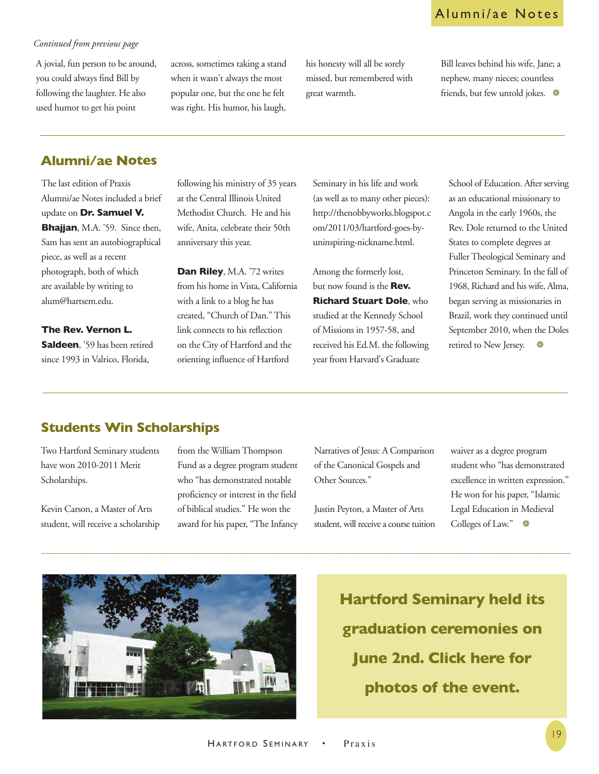### *Continued from previous page*

A jovial, fun person to be around, you could always find Bill by following the laughter. He also used humor to get his point

across, sometimes taking a stand when it wasn't always the most popular one, but the one he felt was right. His humor, his laugh,

his honesty will all be sorely missed, but remembered with great warmth.

Bill leaves behind his wife, Jane; a nephew, many nieces; countless friends, but few untold jokes.  $\bullet$ 

# **Alumni/ae Notes**

The last edition of Praxis Alumni/ae Notes included a brief update on **Dr. Samuel V. Bhajjan**, M.A. '59. Since then, Sam has sent an autobiographical piece, as well as a recent photograph, both of which are available by writing to alum@hartsem.edu.

**The Rev. Vernon L. Saldeen**, '59 has been retired since 1993 in Valrico, Florida,

following his ministry of 35 years at the Central Illinois United Methodist Church. He and his wife, Anita, celebrate their 50th anniversary this year.

**Dan Riley**, M.A. '72 writes from his home in Vista, California with a link to a blog he has created, "Church of Dan." This link connects to his reflection on the City of Hartford and the orienting influence of Hartford

Seminary in his life and work (as well as to many other pieces): [http://thenobbyworks.blogspot.c](http://thenobbyworks.blogspot.com/2011/03/hartford-goes-by-uninspiring-nickname.html) [om/2011/03/hartford-goes-by](http://thenobbyworks.blogspot.com/2011/03/hartford-goes-by-uninspiring-nickname.html)[uninspiring-nickname.html.](http://thenobbyworks.blogspot.com/2011/03/hartford-goes-by-uninspiring-nickname.html)

Among the formerly lost, but now found is the **Rev. Richard Stuart Dole**, who studied at the Kennedy School of Missions in 1957-58, and received his Ed.M. the following year from Harvard's Graduate

School of Education. After serving as an educational missionary to Angola in the early 1960s, the Rev. Dole returned to the United States to complete degrees at Fuller Theological Seminary and Princeton Seminary. In the fall of 1968, Richard and his wife, Alma, began serving as missionaries in Brazil, work they continued until September 2010, when the Doles retired to New Jersey. ●

# **Students Win Scholarships**

Two Hartford Seminary students have won 2010-2011 Merit Scholarships.

Kevin Carson, a Master of Arts student, will receive a scholarship

from the William Thompson Fund as a degree program student who "has demonstrated notable proficiency or interest in the field of biblical studies." He won the award for his paper, "The Infancy Narratives of Jesus: A Comparison of the Canonical Gospels and Other Sources."

Justin Peyton, a Master of Arts student, will receive a course tuition waiver as a degree program student who "has demonstrated excellence in written expression." He won for his paper, "Islamic Legal Education in Medieval Colleges of Law."  $\bullet$ 



**Hartford Seminary held its graduation ceremonies on June 2nd. Click here for photos of the event.**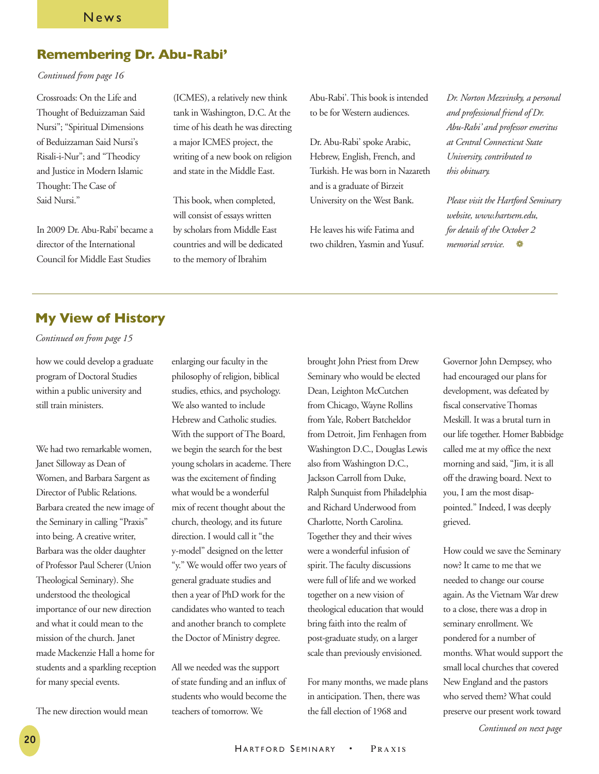# **Remembering Dr. Abu-Rabi'**

### *Continued from page 16*

Crossroads: On the Life and Thought of Beduizzaman Said Nursi"; "Spiritual Dimensions of Beduizzaman Said Nursi's Risali-i-Nur"; and "Theodicy and Justice in Modern Islamic Thought: The Case of Said Nursi."

In 2009 Dr. Abu-Rabi' became a director of the International Council for Middle East Studies

(ICMES), a relatively new think tank in Washington, D.C. At the time of his death he was directing a major ICMES project, the writing of a new book on religion and state in the Middle East.

This book, when completed, will consist of essays written by scholars from Middle East countries and will be dedicated to the memory of Ibrahim

Abu-Rabi'. This book is intended to be for Western audiences.

Dr. Abu-Rabi' spoke Arabic, Hebrew, English, French, and Turkish. He was born in Nazareth and is a graduate of Birzeit University on the West Bank.

He leaves his wife Fatima and two children, Yasmin and Yusuf.

*Dr. Norton Mezvinsky, a personal and professional friend of Dr. Abu-Rabi' and professor emeritus at Central Connecticut State University, contributed to this obituary.*

*Please visit the Hartford Seminary website, www.hartsem.edu, for details of the October 2 memorial service.* a

# **My View of History**

*Continued on from page 15*

how we could develop a graduate program of Doctoral Studies within a public university and still train ministers.

We had two remarkable women, Janet Silloway as Dean of Women, and Barbara Sargent as Director of Public Relations. Barbara created the new image of the Seminary in calling "Praxis" into being. A creative writer, Barbara was the older daughter of Professor Paul Scherer (Union Theological Seminary). She understood the theological importance of our new direction and what it could mean to the mission of the church. Janet made Mackenzie Hall a home for students and a sparkling reception for many special events.

The new direction would mean

enlarging our faculty in the philosophy of religion, biblical studies, ethics, and psychology. We also wanted to include Hebrew and Catholic studies. With the support of The Board, we begin the search for the best young scholars in academe. There was the excitement of finding what would be a wonderful mix of recent thought about the church, theology, and its future direction. I would call it "the y-model" designed on the letter "y." We would offer two years of general graduate studies and then a year of PhD work for the candidates who wanted to teach and another branch to complete the Doctor of Ministry degree.

All we needed was the support of state funding and an influx of students who would become the teachers of tomorrow. We

brought John Priest from Drew Seminary who would be elected Dean, Leighton McCutchen from Chicago, Wayne Rollins from Yale, Robert Batcheldor from Detroit, Jim Fenhagen from Washington D.C., Douglas Lewis also from Washington D.C., Jackson Carroll from Duke, Ralph Sunquist from Philadelphia and Richard Underwood from Charlotte, North Carolina. Together they and their wives were a wonderful infusion of spirit. The faculty discussions were full of life and we worked together on a new vision of theological education that would bring faith into the realm of post-graduate study, on a larger scale than previously envisioned.

For many months, we made plans in anticipation. Then, there was the fall election of 1968 and

Governor John Dempsey, who had encouraged our plans for development, was defeated by fiscal conservative Thomas Meskill. It was a brutal turn in our life together. Homer Babbidge called me at my office the next morning and said, "Jim, it is all off the drawing board. Next to you, I am the most disappointed." Indeed, I was deeply grieved.

How could we save the Seminary now? It came to me that we needed to change our course again. As the Vietnam War drew to a close, there was a drop in seminary enrollment. We pondered for a number of months. What would support the small local churches that covered New England and the pastors who served them? What could preserve our present work toward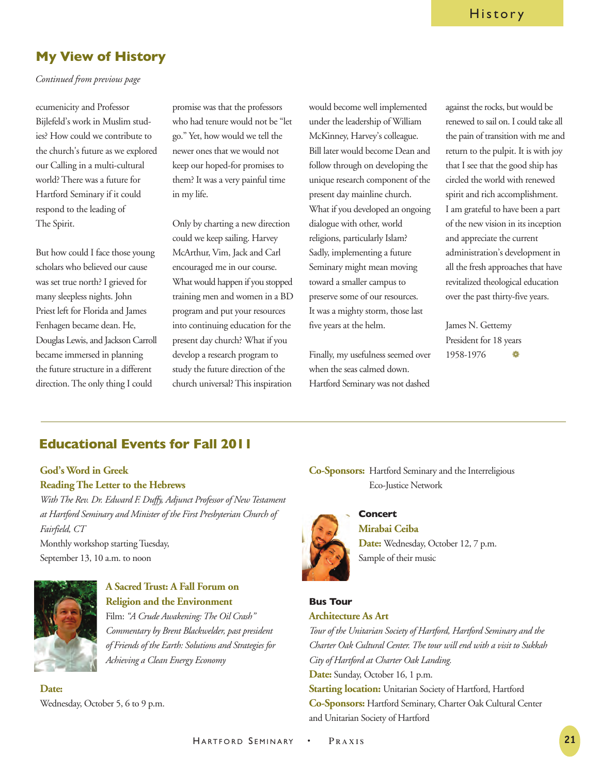# **My View of History**

*Continued from previous page*

ecumenicity and Professor Bijlefeld's work in Muslim studies? How could we contribute to the church's future as we explored our Calling in a multi-cultural world? There was a future for Hartford Seminary if it could respond to the leading of The Spirit.

But how could I face those young scholars who believed our cause was set true north? I grieved for many sleepless nights. John Priest left for Florida and James Fenhagen became dean. He, Douglas Lewis, and Jackson Carroll became immersed in planning the future structure in a different direction. The only thing I could

promise was that the professors who had tenure would not be "let go." Yet, how would we tell the newer ones that we would not keep our hoped-for promises to them? It was a very painful time in my life.

Only by charting a new direction could we keep sailing. Harvey McArthur, Vim, Jack and Carl encouraged me in our course. What would happen if you stopped training men and women in a BD program and put your resources into continuing education for the present day church? What if you develop a research program to study the future direction of the church universal? This inspiration

would become well implemented under the leadership of William McKinney, Harvey's colleague. Bill later would become Dean and follow through on developing the unique research component of the present day mainline church. What if you developed an ongoing dialogue with other, world religions, particularly Islam? Sadly, implementing a future Seminary might mean moving toward a smaller campus to preserve some of our resources. It was a mighty storm, those last five years at the helm.

Finally, my usefulness seemed over when the seas calmed down. Hartford Seminary was not dashed

against the rocks, but would be renewed to sail on. I could take all the pain of transition with me and return to the pulpit. It is with joy that I see that the good ship has circled the world with renewed spirit and rich accomplishment. I am grateful to have been a part of the new vision in its inception and appreciate the current administration's development in all the fresh approaches that have revitalized theological education over the past thirty-five years.

James N. Gettemy President for 18 years 1958-1976

# **Educational Events for Fall 2011**

### **God's Word in Greek Reading The Letter to the Hebrews**

*With The Rev. Dr. Edward F. Duffy, Adjunct Professor of New Testament at Hartford Seminary and Minister of the First Presbyterian Church of Fairfield, CT*

Monthly workshop starting Tuesday, September 13, 10 a.m. to noon



# **A Sacred Trust: A Fall Forum on Religion and the Environment**

Film: *"A Crude Awakening: The Oil Crash" Commentary by Brent Blackwelder, past president of Friends of the Earth: Solutions and Strategies for Achieving a Clean Energy Economy*

**Date:**  Wednesday, October 5, 6 to 9 p.m. **Co-Sponsors:** Hartford Seminary and the Interreligious Eco-Justice Network



### **Concert Mirabai Ceiba**

**Date:** Wednesday, October 12, 7 p.m. Sample of their music

### **Bus Tour**

### **Architecture As Art**

*Tour of the Unitarian Society of Hartford, Hartford Seminary and the Charter Oak Cultural Center. The tour will end with a visit to Sukkah City of Hartford at Charter Oak Landing.* **Date:** Sunday, October 16, 1 p.m.

**Starting location:** Unitarian Society of Hartford, Hartford **Co-Sponsors:** Hartford Seminary, Charter Oak Cultural Center and Unitarian Society of Hartford